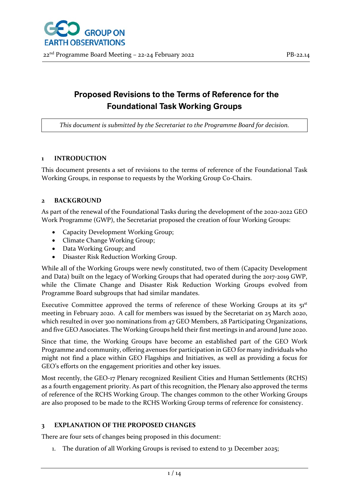# **Proposed Revisions to the Terms of Reference for the Foundational Task Working Groups**

*This document is submitted by the Secretariat to the Programme Board for decision.*

#### **1 INTRODUCTION**

This document presents a set of revisions to the terms of reference of the Foundational Task Working Groups, in response to requests by the Working Group Co-Chairs.

#### **2 BACKGROUND**

As part of the renewal of the Foundational Tasks during the development of the 2020-2022 GEO Work Programme (GWP), the Secretariat proposed the creation of four Working Groups:

- Capacity Development Working Group;
- Climate Change Working Group;
- Data Working Group; and
- Disaster Risk Reduction Working Group.

While all of the Working Groups were newly constituted, two of them (Capacity Development and Data) built on the legacy of Working Groups that had operated during the 2017-2019 GWP, while the Climate Change and Disaster Risk Reduction Working Groups evolved from Programme Board subgroups that had similar mandates.

Executive Committee approved the terms of reference of these Working Groups at its  $51<sup>st</sup>$ meeting in February 2020. A call for members was issued by the Secretariat on 25 March 2020, which resulted in over 300 nominations from 47 GEO Members, 28 Participating Organizations, and five GEO Associates. The Working Groups held their first meetings in and around June 2020.

Since that time, the Working Groups have become an established part of the GEO Work Programme and community, offering avenues for participation in GEO for many individuals who might not find a place within GEO Flagships and Initiatives, as well as providing a focus for GEO's efforts on the engagement priorities and other key issues.

Most recently, the GEO-17 Plenary recognized Resilient Cities and Human Settlements (RCHS) as a fourth engagement priority. As part of this recognition, the Plenary also approved the terms of reference of the RCHS Working Group. The changes common to the other Working Groups are also proposed to be made to the RCHS Working Group terms of reference for consistency.

#### **3 EXPLANATION OF THE PROPOSED CHANGES**

There are four sets of changes being proposed in this document:

1. The duration of all Working Groups is revised to extend to 31 December 2025;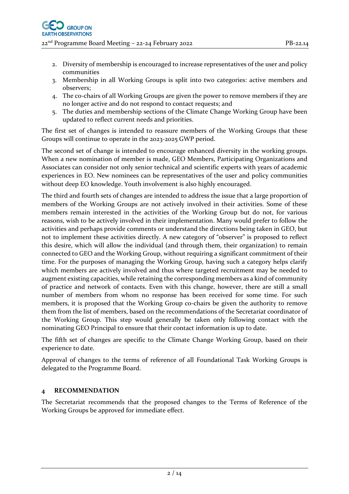- 2. Diversity of membership is encouraged to increase representatives of the user and policy communities
- 3. Membership in all Working Groups is split into two categories: active members and observers;
- 4. The co-chairs of all Working Groups are given the power to remove members if they are no longer active and do not respond to contact requests; and
- 5. The duties and membership sections of the Climate Change Working Group have been updated to reflect current needs and priorities.

The first set of changes is intended to reassure members of the Working Groups that these Groups will continue to operate in the 2023-2025 GWP period.

The second set of change is intended to encourage enhanced diversity in the working groups. When a new nomination of member is made, GEO Members, Participating Organizations and Associates can consider not only senior technical and scientific experts with years of academic experiences in EO. New nominees can be representatives of the user and policy communities without deep EO knowledge. Youth involvement is also highly encouraged.

The third and fourth sets of changes are intended to address the issue that a large proportion of members of the Working Groups are not actively involved in their activities. Some of these members remain interested in the activities of the Working Group but do not, for various reasons, wish to be actively involved in their implementation. Many would prefer to follow the activities and perhaps provide comments or understand the directions being taken in GEO, but not to implement these activities directly. A new category of "observer" is proposed to reflect this desire, which will allow the individual (and through them, their organization) to remain connected to GEO and the Working Group, without requiring a significant commitment of their time. For the purposes of managing the Working Group, having such a category helps clarify which members are actively involved and thus where targeted recruitment may be needed to augment existing capacities, while retaining the corresponding members as a kind of community of practice and network of contacts. Even with this change, however, there are still a small number of members from whom no response has been received for some time. For such members, it is proposed that the Working Group co-chairs be given the authority to remove them from the list of members, based on the recommendations of the Secretariat coordinator of the Working Group. This step would generally be taken only following contact with the nominating GEO Principal to ensure that their contact information is up to date.

The fifth set of changes are specific to the Climate Change Working Group, based on their experience to date.

Approval of changes to the terms of reference of all Foundational Task Working Groups is delegated to the Programme Board.

### **4 RECOMMENDATION**

The Secretariat recommends that the proposed changes to the Terms of Reference of the Working Groups be approved for immediate effect.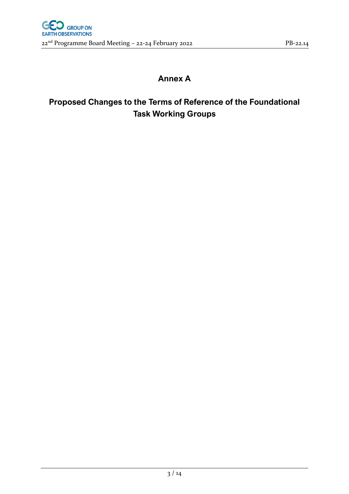## **Annex A**

# **Proposed Changes to the Terms of Reference of the Foundational Task Working Groups**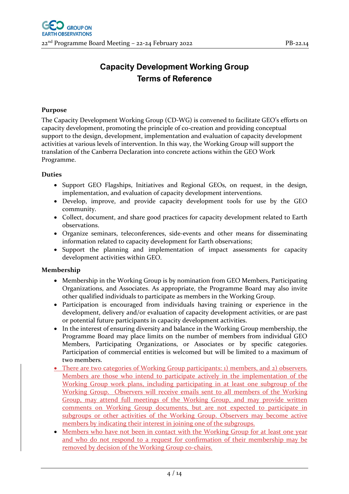### **Capacity Development Working Group Terms of Reference**

#### **Purpose**

The Capacity Development Working Group (CD-WG) is convened to facilitate GEO's efforts on capacity development, promoting the principle of co-creation and providing conceptual support to the design, development, implementation and evaluation of capacity development activities at various levels of intervention. In this way, the Working Group will support the translation of the Canberra Declaration into concrete actions within the GEO Work Programme.

#### **Duties**

- Support GEO Flagships, Initiatives and Regional GEOs, on request, in the design, implementation, and evaluation of capacity development interventions.
- Develop, improve, and provide capacity development tools for use by the GEO community.
- Collect, document, and share good practices for capacity development related to Earth observations.
- Organize seminars, teleconferences, side-events and other means for disseminating information related to capacity development for Earth observations;
- Support the planning and implementation of impact assessments for capacity development activities within GEO.

- Membership in the Working Group is by nomination from GEO Members, Participating Organizations, and Associates. As appropriate, the Programme Board may also invite other qualified individuals to participate as members in the Working Group.
- Participation is encouraged from individuals having training or experience in the development, delivery and/or evaluation of capacity development activities, or are past or potential future participants in capacity development activities.
- In the interest of ensuring diversity and balance in the Working Group membership, the Programme Board may place limits on the number of members from individual GEO Members, Participating Organizations, or Associates or by specific categories. Participation of commercial entities is welcomed but will be limited to a maximum of two members.
- There are two categories of Working Group participants: 1) members, and 2) observers. Members are those who intend to participate actively in the implementation of the Working Group work plans, including participating in at least one subgroup of the Working Group. Observers will receive emails sent to all members of the Working Group, may attend full meetings of the Working Group, and may provide written comments on Working Group documents, but are not expected to participate in subgroups or other activities of the Working Group. Observers may become active members by indicating their interest in joining one of the subgroups.
- Members who have not been in contact with the Working Group for at least one year and who do not respond to a request for confirmation of their membership may be removed by decision of the Working Group co-chairs.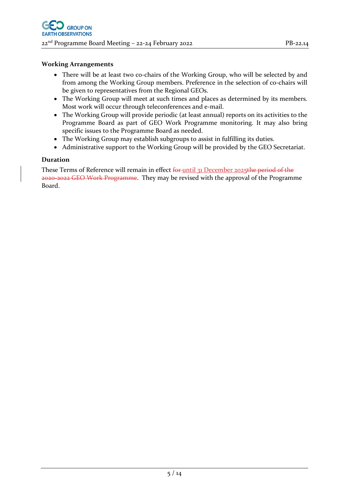- There will be at least two co-chairs of the Working Group, who will be selected by and from among the Working Group members. Preference in the selection of co-chairs will be given to representatives from the Regional GEOs.
- The Working Group will meet at such times and places as determined by its members. Most work will occur through teleconferences and e-mail.
- The Working Group will provide periodic (at least annual) reports on its activities to the Programme Board as part of GEO Work Programme monitoring. It may also bring specific issues to the Programme Board as needed.
- The Working Group may establish subgroups to assist in fulfilling its duties.
- Administrative support to the Working Group will be provided by the GEO Secretariat.

#### **Duration**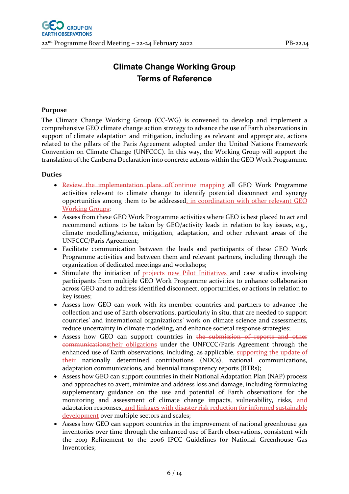### **Climate Change Working Group Terms of Reference**

#### **Purpose**

The Climate Change Working Group (CC-WG) is convened to develop and implement a comprehensive GEO climate change action strategy to advance the use of Earth observations in support of climate adaptation and mitigation, including as relevant and appropriate, actions related to the pillars of the Paris Agreement adopted under the United Nations Framework Convention on Climate Change (UNFCCC). In this way, the Working Group will support the translation of the Canberra Declaration into concrete actions within the GEO Work Programme.

#### **Duties**

- Review the implementation plans of Continue mapping all GEO Work Programme activities relevant to climate change to identify potential disconnect and synergy opportunities among them to be addressed, in coordination with other relevant GEO Working Groups;
- Assess from these GEO Work Programme activities where GEO is best placed to act and recommend actions to be taken by GEO/activity leads in relation to key issues, e.g., climate modelling/science, mitigation, adaptation, and other relevant areas of the UNFCCC/Paris Agreement;
- Facilitate communication between the leads and participants of these GEO Work Programme activities and between them and relevant partners, including through the organization of dedicated meetings and workshops;
- Stimulate the initiation of **projects**-new Pilot Initiatives and case studies involving participants from multiple GEO Work Programme activities to enhance collaboration across GEO and to address identified disconnect, opportunities, or actions in relation to key issues;
- Assess how GEO can work with its member countries and partners to advance the collection and use of Earth observations, particularly in situ, that are needed to support countries' and international organizations' work on climate science and assessments, reduce uncertainty in climate modeling, and enhance societal response strategies;
- Assess how GEO can support countries in the submission of reports and other communicationstheir obligations under the UNFCCC/Paris Agreement through the enhanced use of Earth observations, including, as applicable, supporting the update of their nationally determined contributions (NDCs), national communications, adaptation communications, and biennial transparency reports (BTRs);
- Assess how GEO can support countries in their National Adaptation Plan (NAP) process and approaches to avert, minimize and address loss and damage, including formulating supplementary guidance on the use and potential of Earth observations for the monitoring and assessment of climate change impacts, vulnerability, risks, and adaptation responses, and linkages with disaster risk reduction for informed sustainable development over multiple sectors and scales;
- Assess how GEO can support countries in the improvement of national greenhouse gas inventories over time through the enhanced use of Earth observations, consistent with the 2019 Refinement to the 2006 IPCC Guidelines for National Greenhouse Gas Inventories;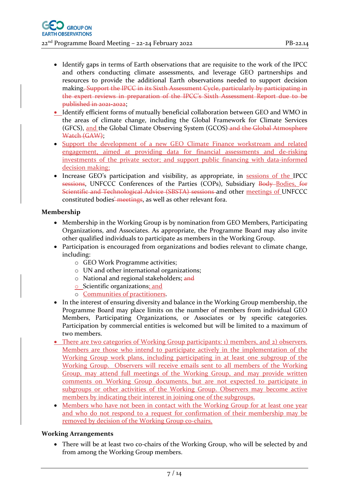- Identify gaps in terms of Earth observations that are requisite to the work of the IPCC and others conducting climate assessments, and leverage GEO partnerships and resources to provide the additional Earth observations needed to support decision making. Support the IPCC in its Sixth Assessment Cycle, particularly by participating in the expert reviews in preparation of the IPCC's Sixth Assessment Report due to be published in 2021-2022;
- Identify efficient forms of mutually beneficial collaboration between GEO and WMO in the areas of climate change, including the Global Framework for Climate Services (GFCS), and the Global Climate Observing System (GCOS) and the Global Atmosphere Watch (GAW);
- Support the development of a new GEO Climate Finance workstream and related engagement, aimed at providing data for financial assessments and de-risking investments of the private sector; and support public financing with data-informed decision making;
- Increase GEO's participation and visibility, as appropriate, in sessions of the IPCC sessions, UNFCCC Conferences of the Parties (COPs), Subsidiary Body-Bodies, for Scientific and Technological Advice (SBSTA) sessions and other meetings of UNFCCC constituted bodies-meetings, as well as other relevant fora.

#### **Membership**

- Membership in the Working Group is by nomination from GEO Members, Participating Organizations, and Associates. As appropriate, the Programme Board may also invite other qualified individuals to participate as members in the Working Group.
- Participation is encouraged from organizations and bodies relevant to climate change, including:
	- o GEO Work Programme activities;
	- o UN and other international organizations;
	- o National and regional stakeholders; and
	- o Scientific organizations; and
	- o Communities of practitioners.
- In the interest of ensuring diversity and balance in the Working Group membership, the Programme Board may place limits on the number of members from individual GEO Members, Participating Organizations, or Associates or by specific categories. Participation by commercial entities is welcomed but will be limited to a maximum of two members.
- There are two categories of Working Group participants: 1) members, and 2) observers. Members are those who intend to participate actively in the implementation of the Working Group work plans, including participating in at least one subgroup of the Working Group. Observers will receive emails sent to all members of the Working Group, may attend full meetings of the Working Group, and may provide written comments on Working Group documents, but are not expected to participate in subgroups or other activities of the Working Group. Observers may become active members by indicating their interest in joining one of the subgroups.
- Members who have not been in contact with the Working Group for at least one year and who do not respond to a request for confirmation of their membership may be removed by decision of the Working Group co-chairs.

#### **Working Arrangements**

• There will be at least two co-chairs of the Working Group, who will be selected by and from among the Working Group members.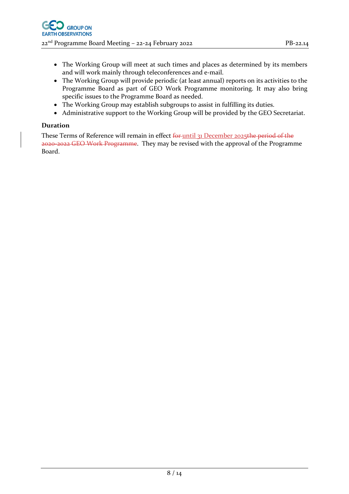- The Working Group will meet at such times and places as determined by its members and will work mainly through teleconferences and e-mail.
- The Working Group will provide periodic (at least annual) reports on its activities to the Programme Board as part of GEO Work Programme monitoring. It may also bring specific issues to the Programme Board as needed.
- The Working Group may establish subgroups to assist in fulfilling its duties.
- Administrative support to the Working Group will be provided by the GEO Secretariat.

#### **Duration**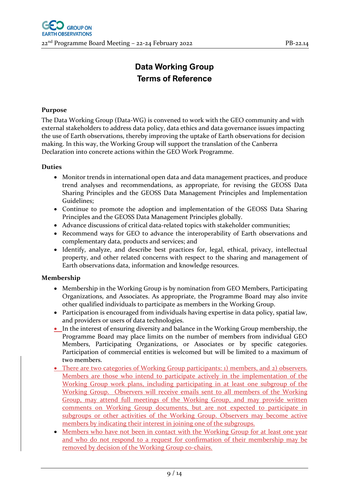# **Data Working Group Terms of Reference**

#### **Purpose**

The Data Working Group (Data-WG) is convened to work with the GEO community and with external stakeholders to address data policy, data ethics and data governance issues impacting the use of Earth observations, thereby improving the uptake of Earth observations for decision making. In this way, the Working Group will support the translation of the Canberra Declaration into concrete actions within the GEO Work Programme.

#### **Duties**

- Monitor trends in international open data and data management practices, and produce trend analyses and recommendations, as appropriate, for revising the GEOSS Data Sharing Principles and the GEOSS Data Management Principles and Implementation Guidelines;
- Continue to promote the adoption and implementation of the GEOSS Data Sharing Principles and the GEOSS Data Management Principles globally.
- Advance discussions of critical data-related topics with stakeholder communities;
- Recommend ways for GEO to advance the interoperability of Earth observations and complementary data, products and services; and
- Identify, analyze, and describe best practices for, legal, ethical, privacy, intellectual property, and other related concerns with respect to the sharing and management of Earth observations data, information and knowledge resources.

- Membership in the Working Group is by nomination from GEO Members, Participating Organizations, and Associates. As appropriate, the Programme Board may also invite other qualified individuals to participate as members in the Working Group.
- Participation is encouraged from individuals having expertise in data policy, spatial law, and providers or users of data technologies.
- In the interest of ensuring diversity and balance in the Working Group membership, the Programme Board may place limits on the number of members from individual GEO Members, Participating Organizations, or Associates or by specific categories. Participation of commercial entities is welcomed but will be limited to a maximum of two members.
- There are two categories of Working Group participants: 1) members, and 2) observers. Members are those who intend to participate actively in the implementation of the Working Group work plans, including participating in at least one subgroup of the Working Group. Observers will receive emails sent to all members of the Working Group, may attend full meetings of the Working Group, and may provide written comments on Working Group documents, but are not expected to participate in subgroups or other activities of the Working Group. Observers may become active members by indicating their interest in joining one of the subgroups.
- Members who have not been in contact with the Working Group for at least one year and who do not respond to a request for confirmation of their membership may be removed by decision of the Working Group co-chairs.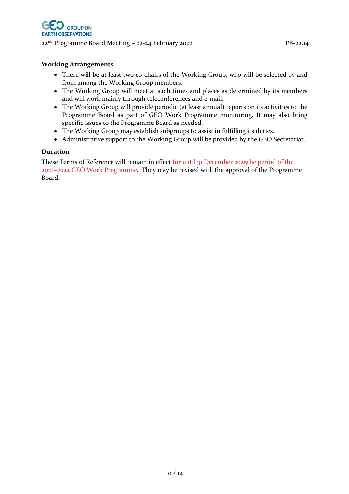- There will be at least two co-chairs of the Working Group, who will be selected by and from among the Working Group members.
- The Working Group will meet at such times and places as determined by its members and will work mainly through teleconferences and e-mail.
- The Working Group will provide periodic (at least annual) reports on its activities to the Programme Board as part of GEO Work Programme monitoring. It may also bring specific issues to the Programme Board as needed.
- The Working Group may establish subgroups to assist in fulfilling its duties.
- Administrative support to the Working Group will be provided by the GEO Secretariat.

#### **Duration**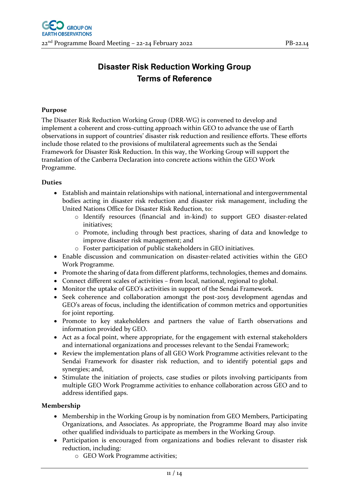### **Disaster Risk Reduction Working Group Terms of Reference**

#### **Purpose**

The Disaster Risk Reduction Working Group (DRR-WG) is convened to develop and implement a coherent and cross-cutting approach within GEO to advance the use of Earth observations in support of countries' disaster risk reduction and resilience efforts. These efforts include those related to the provisions of multilateral agreements such as the Sendai Framework for Disaster Risk Reduction. In this way, the Working Group will support the translation of the Canberra Declaration into concrete actions within the GEO Work Programme.

#### **Duties**

- Establish and maintain relationships with national, international and intergovernmental bodies acting in disaster risk reduction and disaster risk management, including the United Nations Office for Disaster Risk Reduction, to:
	- o Identify resources (financial and in-kind) to support GEO disaster-related initiatives;
	- o Promote, including through best practices, sharing of data and knowledge to improve disaster risk management; and
	- o Foster participation of public stakeholders in GEO initiatives.
- Enable discussion and communication on disaster-related activities within the GEO Work Programme.
- Promote the sharing of data from different platforms, technologies, themes and domains.
- Connect different scales of activities from local, national, regional to global.
- Monitor the uptake of GEO's activities in support of the Sendai Framework.
- Seek coherence and collaboration amongst the post-2015 development agendas and GEO's areas of focus, including the identification of common metrics and opportunities for joint reporting.
- Promote to key stakeholders and partners the value of Earth observations and information provided by GEO.
- Act as a focal point, where appropriate, for the engagement with external stakeholders and international organizations and processes relevant to the Sendai Framework;
- Review the implementation plans of all GEO Work Programme activities relevant to the Sendai Framework for disaster risk reduction, and to identify potential gaps and synergies; and,
- Stimulate the initiation of projects, case studies or pilots involving participants from multiple GEO Work Programme activities to enhance collaboration across GEO and to address identified gaps.

- Membership in the Working Group is by nomination from GEO Members, Participating Organizations, and Associates. As appropriate, the Programme Board may also invite other qualified individuals to participate as members in the Working Group.
- Participation is encouraged from organizations and bodies relevant to disaster risk reduction, including:
	- o GEO Work Programme activities;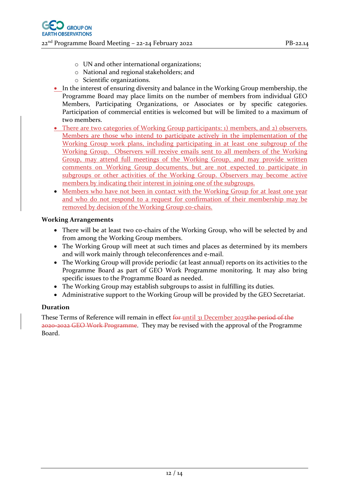- o UN and other international organizations;
- o National and regional stakeholders; and
- o Scientific organizations.
- In the interest of ensuring diversity and balance in the Working Group membership, the Programme Board may place limits on the number of members from individual GEO Members, Participating Organizations, or Associates or by specific categories. Participation of commercial entities is welcomed but will be limited to a maximum of two members.
- There are two categories of Working Group participants: 1) members, and 2) observers. Members are those who intend to participate actively in the implementation of the Working Group work plans, including participating in at least one subgroup of the Working Group. Observers will receive emails sent to all members of the Working Group, may attend full meetings of the Working Group, and may provide written comments on Working Group documents, but are not expected to participate in subgroups or other activities of the Working Group. Observers may become active members by indicating their interest in joining one of the subgroups.
- Members who have not been in contact with the Working Group for at least one year and who do not respond to a request for confirmation of their membership may be removed by decision of the Working Group co-chairs.

- There will be at least two co-chairs of the Working Group, who will be selected by and from among the Working Group members.
- The Working Group will meet at such times and places as determined by its members and will work mainly through teleconferences and e-mail.
- The Working Group will provide periodic (at least annual) reports on its activities to the Programme Board as part of GEO Work Programme monitoring. It may also bring specific issues to the Programme Board as needed.
- The Working Group may establish subgroups to assist in fulfilling its duties.
- Administrative support to the Working Group will be provided by the GEO Secretariat.

#### **Duration**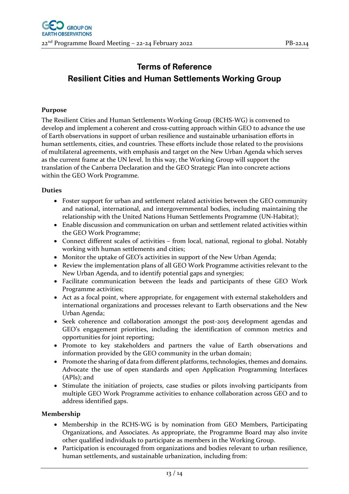## **Terms of Reference Resilient Cities and Human Settlements Working Group**

#### **Purpose**

The Resilient Cities and Human Settlements Working Group (RCHS-WG) is convened to develop and implement a coherent and cross-cutting approach within GEO to advance the use of Earth observations in support of urban resilience and sustainable urbanisation efforts in human settlements, cities, and countries. These efforts include those related to the provisions of multilateral agreements, with emphasis and target on the New Urban Agenda which serves as the current frame at the UN level. In this way, the Working Group will support the translation of the Canberra Declaration and the GEO Strategic Plan into concrete actions within the GEO Work Programme.

#### **Duties**

- Foster support for urban and settlement related activities between the GEO community and national, international, and intergovernmental bodies, including maintaining the relationship with the United Nations Human Settlements Programme (UN-Habitat);
- Enable discussion and communication on urban and settlement related activities within the GEO Work Programme;
- Connect different scales of activities from local, national, regional to global. Notably working with human settlements and cities;
- Monitor the uptake of GEO's activities in support of the New Urban Agenda;
- Review the implementation plans of all GEO Work Programme activities relevant to the New Urban Agenda, and to identify potential gaps and synergies;
- Facilitate communication between the leads and participants of these GEO Work Programme activities;
- Act as a focal point, where appropriate, for engagement with external stakeholders and international organizations and processes relevant to Earth observations and the New Urban Agenda;
- Seek coherence and collaboration amongst the post-2015 development agendas and GEO's engagement priorities, including the identification of common metrics and opportunities for joint reporting;
- Promote to key stakeholders and partners the value of Earth observations and information provided by the GEO community in the urban domain;
- Promote the sharing of data from different platforms, technologies, themes and domains. Advocate the use of open standards and open Application Programming Interfaces (APIs); and
- Stimulate the initiation of projects, case studies or pilots involving participants from multiple GEO Work Programme activities to enhance collaboration across GEO and to address identified gaps.

- Membership in the RCHS-WG is by nomination from GEO Members, Participating Organizations, and Associates. As appropriate, the Programme Board may also invite other qualified individuals to participate as members in the Working Group.
- Participation is encouraged from organizations and bodies relevant to urban resilience, human settlements, and sustainable urbanization, including from: